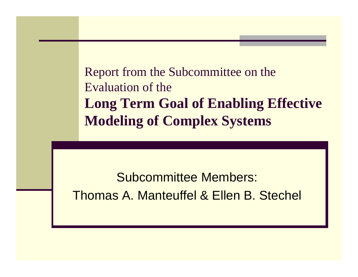Report from the Subcommittee on the Evaluation of the**Long Term Goal of Enabling Effective Modeling of Complex Systems**

Subcommittee Members: Thomas A. Manteuffel & Ellen B. Stechel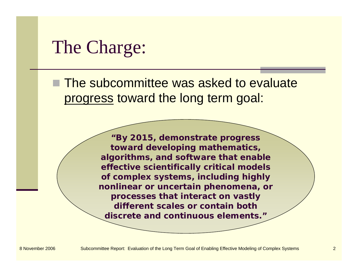### The Charge:

**The subcommittee was asked to evaluate** progress toward the long term goal:

> *"By 2015, demonstrate progress toward developing mathematics, algorithms, and software that enable effective scientifically critical models of complex systems, including highly nonlinear or uncertain phenomena, or processes that interact on vastly different scales or contain both discrete and continuous elements."*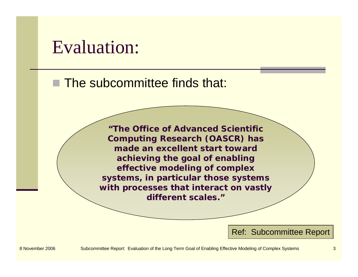### Evaluation:

■ The subcommittee finds that:

*"The Office of Advanced Scientific Computing Research (OASCR) has made an excellent start toward achieving the goal of enabling effective modeling of complex systems, in particular those systems with processes that interact on vastly different scales."*

Ref: Subcommittee Report

8 November 2006 Subcommittee Report: Evaluation of the Long Term Goal of Enabling Effective Modeling of Complex Systems 3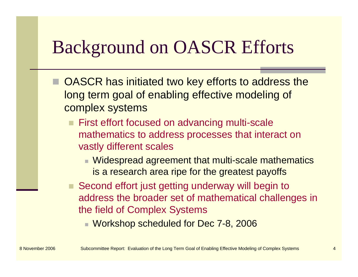## Background on OASCR Efforts

- OASCR has initiated two key efforts to address the long term goal of enabling effective modeling of complex systems
	- **First effort focused on advancing multi-scale** mathematics to address processes that interact on vastly different scales
		- Widespread agreement that multi-scale mathematics is a research area ripe for the greatest payoffs
	- Second effort just getting underway will begin to address the broader set of mathematical challenges in the field of Complex Systems
		- Workshop scheduled for Dec 7-8, 2006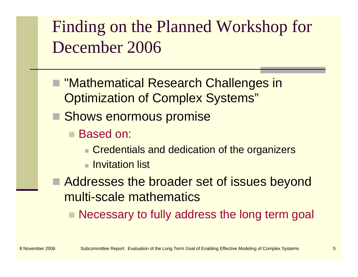## Finding on the Planned Workshop for December 2006

- "Mathematical Research Challenges in Optimization of Complex Systems"
- **Shows enormous promise** 
	- Based on:
		- **Credentials and dedication of the organizers**
		- $\blacksquare$  Invitation list
- Addresses the broader set of issues beyond multi-scale mathematics
	- Necessary to fully address the long term goal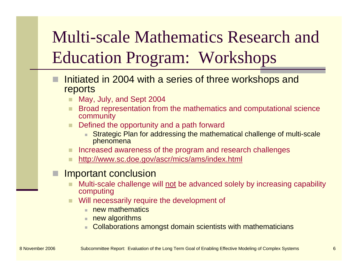# Multi-scale Mathematics Research and Education Program: Workshops

- Initiated in 2004 with a series of three workshops and reports
	- May, July, and Sept 2004
	- Broad representation from the mathematics and computational science community
	- Defined the opportunity and a path forward
		- Strategic Plan for addressing the mathematical challenge of multi-scale phenomena
	- Increased awareness of the program and research challenges
	- http://www.sc.doe.gov/ascr/mics/ams/index.html

#### Important conclusion

- Multi-scale challenge will not be advanced solely by increasing capability computing
- Will necessarily require the development of
	- new mathematics
	- $\blacksquare$  new algorithms
	- Collaborations amongst domain scientists with mathematicians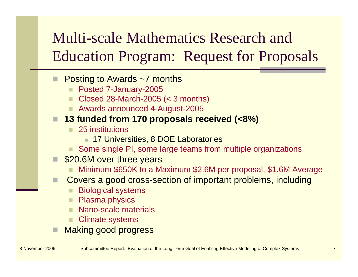### Multi-scale Mathematics Research and Education Program: Request for Proposals

#### Posting to Awards ~7 months

- Posted 7-January-2005
- Closed 28-March-2005 (< 3 months)
- Awards announced 4-August-2005

#### **13 funded from 170 proposals received (<8%)**

- $\mathbf{r}$  25 institutions
	- 17 Universities, 8 DOE Laboratories
- Some single PI, some large teams from multiple organizations
- **S20.6M over three years** 
	- Minimum \$650K to a Maximum \$2.6M per proposal, \$1.6M Average
- Covers a good cross-section of important problems, including
	- Biological systems
	- Plasma physics
	- Nano-scale materials
	- Climate systems
- Making good progress